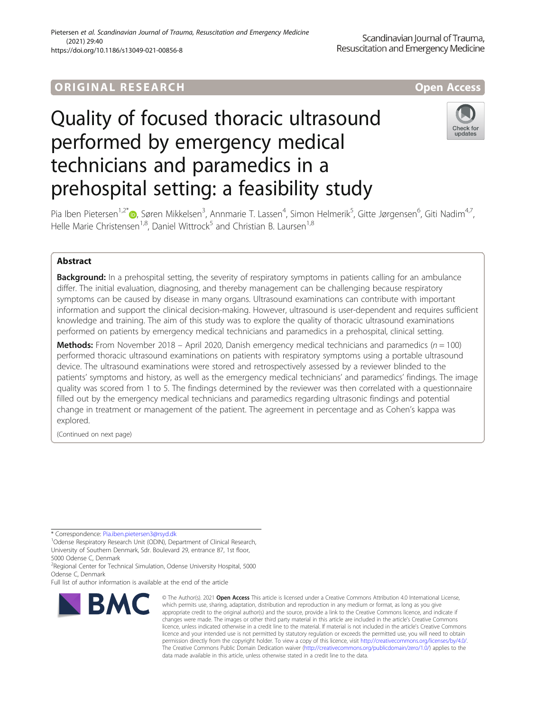# ORIGINA L R E S EA RCH Open Access



# Quality of focused thoracic ultrasound performed by emergency medical technicians and paramedics in a prehospital setting: a feasibility study



Pia Iben Pietersen<sup>1,2[\\*](http://orcid.org/0000-0001-5718-3635)</sup>©, Søren Mikkelsen<sup>3</sup>, Annmarie T. Lassen<sup>4</sup>, Simon Helmerik<sup>5</sup>, Gitte Jørgensen<sup>6</sup>, Giti Nadim<sup>4,7</sup>, Helle Marie Christensen<sup>1,8</sup>, Daniel Wittrock<sup>5</sup> and Christian B. Laursen<sup>1,8</sup>

# Abstract

**Background:** In a prehospital setting, the severity of respiratory symptoms in patients calling for an ambulance differ. The initial evaluation, diagnosing, and thereby management can be challenging because respiratory symptoms can be caused by disease in many organs. Ultrasound examinations can contribute with important information and support the clinical decision-making. However, ultrasound is user-dependent and requires sufficient knowledge and training. The aim of this study was to explore the quality of thoracic ultrasound examinations performed on patients by emergency medical technicians and paramedics in a prehospital, clinical setting.

**Methods:** From November 2018 – April 2020, Danish emergency medical technicians and paramedics ( $n = 100$ ) performed thoracic ultrasound examinations on patients with respiratory symptoms using a portable ultrasound device. The ultrasound examinations were stored and retrospectively assessed by a reviewer blinded to the patients' symptoms and history, as well as the emergency medical technicians' and paramedics' findings. The image quality was scored from 1 to 5. The findings determined by the reviewer was then correlated with a questionnaire filled out by the emergency medical technicians and paramedics regarding ultrasonic findings and potential change in treatment or management of the patient. The agreement in percentage and as Cohen's kappa was explored.

(Continued on next page)

\* Correspondence: [Pia.iben.pietersen3@rsyd.dk](mailto:Pia.iben.pietersen3@rsyd.dk) <sup>1</sup>

<sup>1</sup>Odense Respiratory Research Unit (ODIN), Department of Clinical Research, University of Southern Denmark, Sdr. Boulevard 29, entrance 87, 1st floor, 5000 Odense C, Denmark

<sup>2</sup> Regional Center for Technical Simulation, Odense University Hospital, 5000 Odense C, Denmark

Full list of author information is available at the end of the article



<sup>©</sup> The Author(s). 2021 Open Access This article is licensed under a Creative Commons Attribution 4.0 International License, which permits use, sharing, adaptation, distribution and reproduction in any medium or format, as long as you give appropriate credit to the original author(s) and the source, provide a link to the Creative Commons licence, and indicate if changes were made. The images or other third party material in this article are included in the article's Creative Commons licence, unless indicated otherwise in a credit line to the material. If material is not included in the article's Creative Commons licence and your intended use is not permitted by statutory regulation or exceeds the permitted use, you will need to obtain permission directly from the copyright holder. To view a copy of this licence, visit [http://creativecommons.org/licenses/by/4.0/.](http://creativecommons.org/licenses/by/4.0/) The Creative Commons Public Domain Dedication waiver [\(http://creativecommons.org/publicdomain/zero/1.0/](http://creativecommons.org/publicdomain/zero/1.0/)) applies to the data made available in this article, unless otherwise stated in a credit line to the data.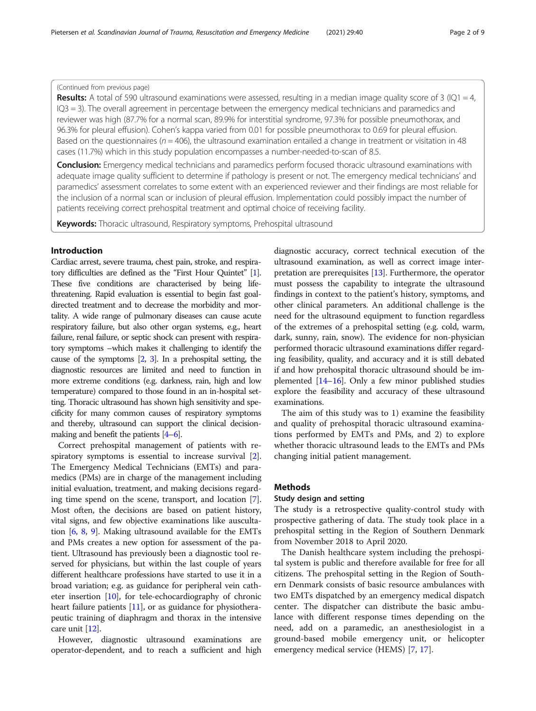# (Continued from previous page)

**Results:** A total of 590 ultrasound examinations were assessed, resulting in a median image quality score of 3 (IQ1 = 4, IQ3 = 3). The overall agreement in percentage between the emergency medical technicians and paramedics and reviewer was high (87.7% for a normal scan, 89.9% for interstitial syndrome, 97.3% for possible pneumothorax, and 96.3% for pleural effusion). Cohen's kappa varied from 0.01 for possible pneumothorax to 0.69 for pleural effusion. Based on the questionnaires ( $n = 406$ ), the ultrasound examination entailed a change in treatment or visitation in 48 cases (11.7%) which in this study population encompasses a number-needed-to-scan of 8.5.

**Conclusion:** Emergency medical technicians and paramedics perform focused thoracic ultrasound examinations with adequate image quality sufficient to determine if pathology is present or not. The emergency medical technicians' and paramedics' assessment correlates to some extent with an experienced reviewer and their findings are most reliable for the inclusion of a normal scan or inclusion of pleural effusion. Implementation could possibly impact the number of patients receiving correct prehospital treatment and optimal choice of receiving facility.

**Keywords:** Thoracic ultrasound, Respiratory symptoms, Prehospital ultrasound

# Introduction

Cardiac arrest, severe trauma, chest pain, stroke, and respiratory difficulties are defined as the "First Hour Quintet" [\[1\]](#page-7-0). These five conditions are characterised by being lifethreatening. Rapid evaluation is essential to begin fast goaldirected treatment and to decrease the morbidity and mortality. A wide range of pulmonary diseases can cause acute respiratory failure, but also other organ systems, e.g., heart failure, renal failure, or septic shock can present with respiratory symptoms –which makes it challenging to identify the cause of the symptoms [\[2,](#page-7-0) [3](#page-7-0)]. In a prehospital setting, the diagnostic resources are limited and need to function in more extreme conditions (e.g. darkness, rain, high and low temperature) compared to those found in an in-hospital setting. Thoracic ultrasound has shown high sensitivity and specificity for many common causes of respiratory symptoms and thereby, ultrasound can support the clinical decisionmaking and benefit the patients [\[4](#page-7-0)–[6\]](#page-7-0).

Correct prehospital management of patients with re-spiratory symptoms is essential to increase survival [[2](#page-7-0)]. The Emergency Medical Technicians (EMTs) and paramedics (PMs) are in charge of the management including initial evaluation, treatment, and making decisions regarding time spend on the scene, transport, and location [[7](#page-7-0)]. Most often, the decisions are based on patient history, vital signs, and few objective examinations like auscultation [[6](#page-7-0), [8](#page-7-0), [9\]](#page-7-0). Making ultrasound available for the EMTs and PMs creates a new option for assessment of the patient. Ultrasound has previously been a diagnostic tool reserved for physicians, but within the last couple of years different healthcare professions have started to use it in a broad variation; e.g. as guidance for peripheral vein catheter insertion [\[10](#page-7-0)], for tele-echocardiography of chronic heart failure patients [\[11\]](#page-7-0), or as guidance for physiotherapeutic training of diaphragm and thorax in the intensive care unit [[12](#page-7-0)].

However, diagnostic ultrasound examinations are operator-dependent, and to reach a sufficient and high diagnostic accuracy, correct technical execution of the ultrasound examination, as well as correct image interpretation are prerequisites [[13](#page-7-0)]. Furthermore, the operator must possess the capability to integrate the ultrasound findings in context to the patient's history, symptoms, and other clinical parameters. An additional challenge is the need for the ultrasound equipment to function regardless of the extremes of a prehospital setting (e.g. cold, warm, dark, sunny, rain, snow). The evidence for non-physician performed thoracic ultrasound examinations differ regarding feasibility, quality, and accuracy and it is still debated if and how prehospital thoracic ultrasound should be implemented [\[14](#page-7-0)–[16](#page-7-0)]. Only a few minor published studies explore the feasibility and accuracy of these ultrasound examinations.

The aim of this study was to 1) examine the feasibility and quality of prehospital thoracic ultrasound examinations performed by EMTs and PMs, and 2) to explore whether thoracic ultrasound leads to the EMTs and PMs changing initial patient management.

### Methods

# Study design and setting

The study is a retrospective quality-control study with prospective gathering of data. The study took place in a prehospital setting in the Region of Southern Denmark from November 2018 to April 2020.

The Danish healthcare system including the prehospital system is public and therefore available for free for all citizens. The prehospital setting in the Region of Southern Denmark consists of basic resource ambulances with two EMTs dispatched by an emergency medical dispatch center. The dispatcher can distribute the basic ambulance with different response times depending on the need, add on a paramedic, an anesthesiologist in a ground-based mobile emergency unit, or helicopter emergency medical service (HEMS) [[7](#page-7-0), [17](#page-7-0)].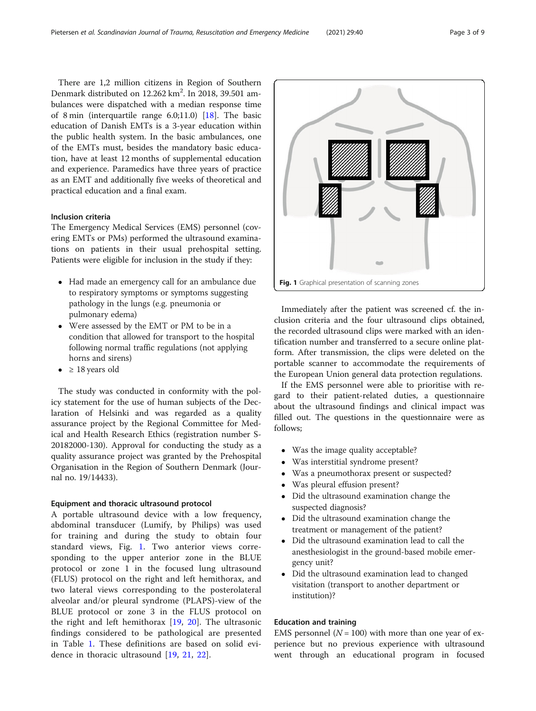There are 1,2 million citizens in Region of Southern Denmark distributed on 12.262 km<sup>2</sup>. In 2018, 39.501 ambulances were dispatched with a median response time of 8 min (interquartile range 6.0;11.0) [\[18\]](#page-7-0). The basic education of Danish EMTs is a 3-year education within the public health system. In the basic ambulances, one of the EMTs must, besides the mandatory basic education, have at least 12 months of supplemental education and experience. Paramedics have three years of practice as an EMT and additionally five weeks of theoretical and practical education and a final exam.

# Inclusion criteria

The Emergency Medical Services (EMS) personnel (covering EMTs or PMs) performed the ultrasound examinations on patients in their usual prehospital setting. Patients were eligible for inclusion in the study if they:

- Had made an emergency call for an ambulance due to respiratory symptoms or symptoms suggesting pathology in the lungs (e.g. pneumonia or pulmonary edema)
- Were assessed by the EMT or PM to be in a condition that allowed for transport to the hospital following normal traffic regulations (not applying horns and sirens)
- $\bullet$  ≥ 18 years old

The study was conducted in conformity with the policy statement for the use of human subjects of the Declaration of Helsinki and was regarded as a quality assurance project by the Regional Committee for Medical and Health Research Ethics (registration number S-20182000-130). Approval for conducting the study as a quality assurance project was granted by the Prehospital Organisation in the Region of Southern Denmark (Journal no. 19/14433).

## Equipment and thoracic ultrasound protocol

A portable ultrasound device with a low frequency, abdominal transducer (Lumify, by Philips) was used for training and during the study to obtain four standard views, Fig. 1. Two anterior views corresponding to the upper anterior zone in the BLUE protocol or zone 1 in the focused lung ultrasound (FLUS) protocol on the right and left hemithorax, and two lateral views corresponding to the posterolateral alveolar and/or pleural syndrome (PLAPS)-view of the BLUE protocol or zone 3 in the FLUS protocol on the right and left hemithorax [[19,](#page-7-0) [20](#page-7-0)]. The ultrasonic findings considered to be pathological are presented in Table [1](#page-3-0). These definitions are based on solid evidence in thoracic ultrasound [[19,](#page-7-0) [21,](#page-7-0) [22\]](#page-7-0).



Immediately after the patient was screened cf. the inclusion criteria and the four ultrasound clips obtained, the recorded ultrasound clips were marked with an identification number and transferred to a secure online platform. After transmission, the clips were deleted on the portable scanner to accommodate the requirements of the European Union general data protection regulations.

If the EMS personnel were able to prioritise with regard to their patient-related duties, a questionnaire about the ultrasound findings and clinical impact was filled out. The questions in the questionnaire were as follows;

- Was the image quality acceptable?
- Was interstitial syndrome present?
- Was a pneumothorax present or suspected?
- Was pleural effusion present?
- Did the ultrasound examination change the suspected diagnosis?
- Did the ultrasound examination change the treatment or management of the patient?
- Did the ultrasound examination lead to call the anesthesiologist in the ground-based mobile emergency unit?
- Did the ultrasound examination lead to changed visitation (transport to another department or institution)?

# Education and training

EMS personnel ( $N = 100$ ) with more than one year of experience but no previous experience with ultrasound went through an educational program in focused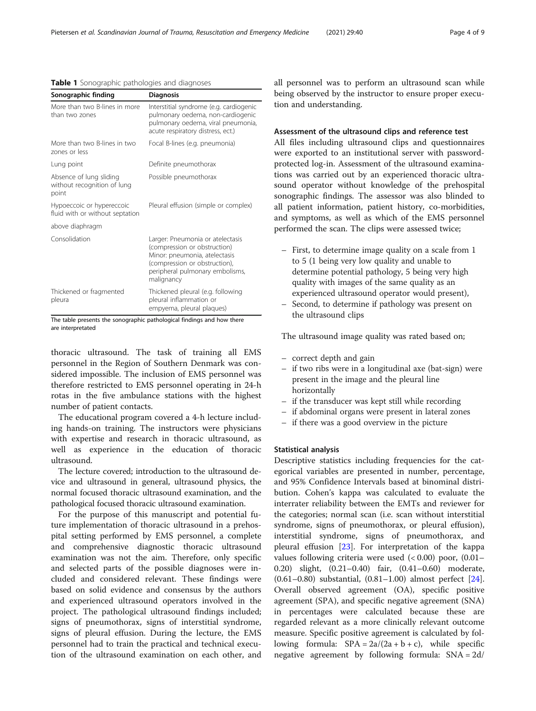#### <span id="page-3-0"></span>Table 1 Sonographic pathologies and diagnoses

| Sonographic finding                                             | <b>Diagnosis</b>                                                                                                                                                                    |
|-----------------------------------------------------------------|-------------------------------------------------------------------------------------------------------------------------------------------------------------------------------------|
| More than two B-lines in more<br>than two zones                 | Interstitial syndrome (e.g. cardiogenic<br>pulmonary oedema, non-cardiogenic<br>pulmonary oedema, viral pneumonia,<br>acute respiratory distress, ect.)                             |
| More than two B-lines in two<br>zones or less                   | Focal B-lines (e.g. pneumonia)                                                                                                                                                      |
| Lung point                                                      | Definite pneumothorax                                                                                                                                                               |
| Absence of lung sliding<br>without recognition of lung<br>point | Possible pneumothorax                                                                                                                                                               |
| Hypoeccoic or hypereccoic<br>fluid with or without septation    | Pleural effusion (simple or complex)                                                                                                                                                |
| above diaphragm                                                 |                                                                                                                                                                                     |
| Consolidation                                                   | Larger: Pneumonia or atelectasis<br>(compression or obstruction)<br>Minor: pneumonia, atelectasis<br>(compression or obstruction),<br>peripheral pulmonary embolisms,<br>malignancy |
| Thickened or fragmented<br>pleura                               | Thickened pleural (e.g. following<br>pleural inflammation or<br>empyema, pleural plaques)                                                                                           |

The table presents the sonographic pathological findings and how there are interpretated

thoracic ultrasound. The task of training all EMS personnel in the Region of Southern Denmark was considered impossible. The inclusion of EMS personnel was therefore restricted to EMS personnel operating in 24-h rotas in the five ambulance stations with the highest number of patient contacts.

The educational program covered a 4-h lecture including hands-on training. The instructors were physicians with expertise and research in thoracic ultrasound, as well as experience in the education of thoracic ultrasound.

The lecture covered; introduction to the ultrasound device and ultrasound in general, ultrasound physics, the normal focused thoracic ultrasound examination, and the pathological focused thoracic ultrasound examination.

For the purpose of this manuscript and potential future implementation of thoracic ultrasound in a prehospital setting performed by EMS personnel, a complete and comprehensive diagnostic thoracic ultrasound examination was not the aim. Therefore, only specific and selected parts of the possible diagnoses were included and considered relevant. These findings were based on solid evidence and consensus by the authors and experienced ultrasound operators involved in the project. The pathological ultrasound findings included; signs of pneumothorax, signs of interstitial syndrome, signs of pleural effusion. During the lecture, the EMS personnel had to train the practical and technical execution of the ultrasound examination on each other, and all personnel was to perform an ultrasound scan while being observed by the instructor to ensure proper execution and understanding.

# Assessment of the ultrasound clips and reference test

All files including ultrasound clips and questionnaires were exported to an institutional server with passwordprotected log-in. Assessment of the ultrasound examinations was carried out by an experienced thoracic ultrasound operator without knowledge of the prehospital sonographic findings. The assessor was also blinded to all patient information, patient history, co-morbidities, and symptoms, as well as which of the EMS personnel performed the scan. The clips were assessed twice;

- First, to determine image quality on a scale from 1 to 5 (1 being very low quality and unable to determine potential pathology, 5 being very high quality with images of the same quality as an experienced ultrasound operator would present),
- Second, to determine if pathology was present on the ultrasound clips

The ultrasound image quality was rated based on;

- correct depth and gain
- if two ribs were in a longitudinal axe (bat-sign) were present in the image and the pleural line horizontally
- if the transducer was kept still while recording
- if abdominal organs were present in lateral zones
- if there was a good overview in the picture

# Statistical analysis

Descriptive statistics including frequencies for the categorical variables are presented in number, percentage, and 95% Confidence Intervals based at binominal distribution. Cohen's kappa was calculated to evaluate the interrater reliability between the EMTs and reviewer for the categories; normal scan (i.e. scan without interstitial syndrome, signs of pneumothorax, or pleural effusion), interstitial syndrome, signs of pneumothorax, and pleural effusion [[23\]](#page-8-0). For interpretation of the kappa values following criteria were used (< 0.00) poor, (0.01– 0.20) slight, (0.21–0.40) fair, (0.41–0.60) moderate, (0.61–0.80) substantial, (0.81–1.00) almost perfect [\[24](#page-8-0)]. Overall observed agreement (OA), specific positive agreement (SPA), and specific negative agreement (SNA) in percentages were calculated because these are regarded relevant as a more clinically relevant outcome measure. Specific positive agreement is calculated by following formula:  $SPA = 2a/(2a + b + c)$ , while specific negative agreement by following formula: SNA = 2d/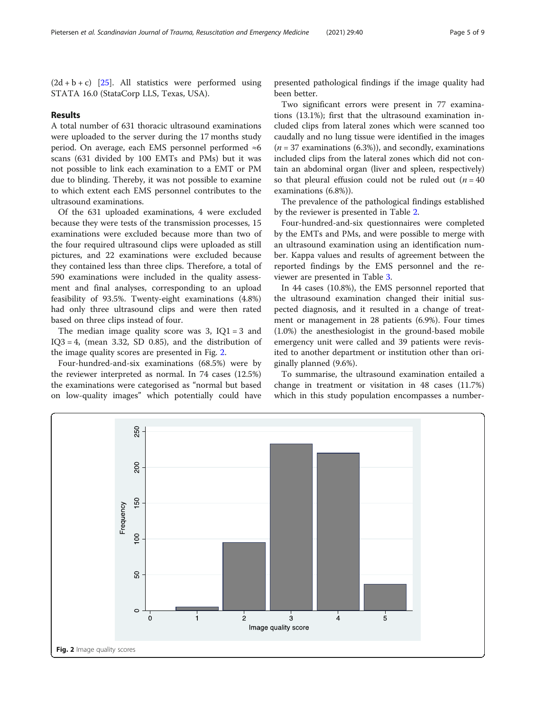$(2d + b + c)$  [[25](#page-8-0)]. All statistics were performed using STATA 16.0 (StataCorp LLS, Texas, USA).

### Results

A total number of 631 thoracic ultrasound examinations were uploaded to the server during the 17 months study period. On average, each EMS personnel performed ≈6 scans (631 divided by 100 EMTs and PMs) but it was not possible to link each examination to a EMT or PM due to blinding. Thereby, it was not possible to examine to which extent each EMS personnel contributes to the ultrasound examinations.

Of the 631 uploaded examinations, 4 were excluded because they were tests of the transmission processes, 15 examinations were excluded because more than two of the four required ultrasound clips were uploaded as still pictures, and 22 examinations were excluded because they contained less than three clips. Therefore, a total of 590 examinations were included in the quality assessment and final analyses, corresponding to an upload feasibility of 93.5%. Twenty-eight examinations (4.8%) had only three ultrasound clips and were then rated based on three clips instead of four.

The median image quality score was  $3$ , IQ1 = 3 and  $IQ3 = 4$ , (mean 3.32, SD 0.85), and the distribution of the image quality scores are presented in Fig. 2.

Four-hundred-and-six examinations (68.5%) were by the reviewer interpreted as normal. In 74 cases (12.5%) the examinations were categorised as "normal but based on low-quality images" which potentially could have

presented pathological findings if the image quality had been better.

Two significant errors were present in 77 examinations (13.1%); first that the ultrasound examination included clips from lateral zones which were scanned too caudally and no lung tissue were identified in the images  $(n = 37$  examinations (6.3%)), and secondly, examinations included clips from the lateral zones which did not contain an abdominal organ (liver and spleen, respectively) so that pleural effusion could not be ruled out  $(n = 40)$ examinations (6.8%)).

The prevalence of the pathological findings established by the reviewer is presented in Table [2](#page-5-0).

Four-hundred-and-six questionnaires were completed by the EMTs and PMs, and were possible to merge with an ultrasound examination using an identification number. Kappa values and results of agreement between the reported findings by the EMS personnel and the reviewer are presented in Table [3.](#page-5-0)

In 44 cases (10.8%), the EMS personnel reported that the ultrasound examination changed their initial suspected diagnosis, and it resulted in a change of treatment or management in 28 patients (6.9%). Four times (1.0%) the anesthesiologist in the ground-based mobile emergency unit were called and 39 patients were revisited to another department or institution other than originally planned (9.6%).

To summarise, the ultrasound examination entailed a change in treatment or visitation in 48 cases (11.7%) which in this study population encompasses a number-

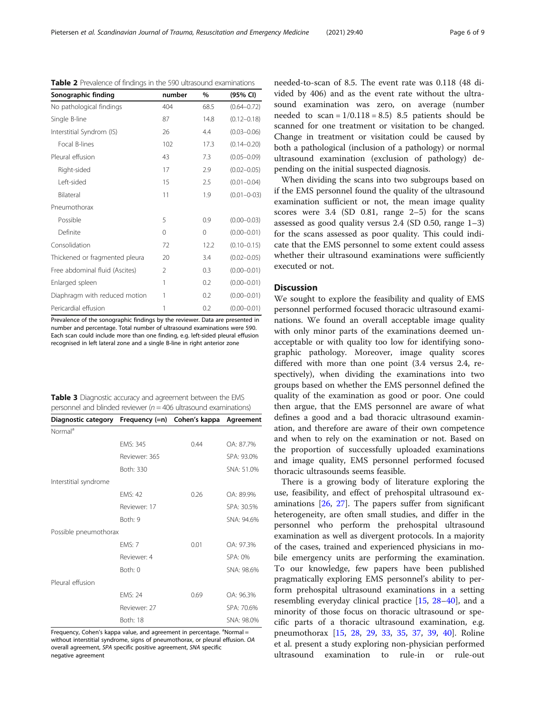<span id="page-5-0"></span>Pietersen et al. Scandinavian Journal of Trauma, Resuscitation and Emergency Medicine (2021) 29:40 Page 6 of 9

| Sonographic finding            | number         | $\%$ | (95% CI)        |
|--------------------------------|----------------|------|-----------------|
| No pathological findings       | 404            | 68.5 | $(0.64 - 0.72)$ |
| Single B-line                  | 87             | 14.8 | $(0.12 - 0.18)$ |
| Interstitial Syndrom (IS)      | 26             | 4.4  | $(0.03 - 0.06)$ |
| Focal B-lines                  | 102            | 17.3 | $(0.14 - 0.20)$ |
| Pleural effusion               | 43             | 7.3  | $(0.05 - 0.09)$ |
| Right-sided                    | 17             | 2.9  | $(0.02 - 0.05)$ |
| Left-sided                     | 15             | 2.5  | $(0.01 - 0.04)$ |
| Bilateral                      | 11             | 1.9  | $(0.01 - 0.03)$ |
| Pneumothorax                   |                |      |                 |
| Possible                       | 5              | 0.9  | $(0.00 - 0.03)$ |
| Definite                       | 0              | 0    | $(0.00 - 0.01)$ |
| Consolidation                  | 72             | 12.2 | $(0.10 - 0.15)$ |
| Thickened or fragmented pleura | 20             | 3.4  | $(0.02 - 0.05)$ |
| Free abdominal fluid (Ascites) | $\mathfrak{D}$ | 0.3  | $(0.00 - 0.01)$ |
| Enlarged spleen                | 1              | 0.2  | $(0.00 - 0.01)$ |
| Diaphragm with reduced motion  | 1              | 0.2  | $(0.00 - 0.01)$ |
| Pericardial effusion           | 1              | 0.2  | $(0.00 - 0.01)$ |

Table 2 Prevalence of findings in the 590 ultrasound examinations

Prevalence of the sonographic findings by the reviewer. Data are presented in number and percentage. Total number of ultrasound examinations were 590. Each scan could include more than one finding, e.g. left-sided pleural effusion recognised in left lateral zone and a single B-line in right anterior zone

| Table 3 Diagnostic accuracy and agreement between the EMS           |
|---------------------------------------------------------------------|
| personnel and blinded reviewer ( $n = 406$ ultrasound examinations) |

| Diagnostic category Frequency (=n) Cohen's kappa |                |      | Agreement  |
|--------------------------------------------------|----------------|------|------------|
| Normal <sup>a</sup>                              |                |      |            |
|                                                  | EMS: 345       | 0.44 | OA: 87.7%  |
|                                                  | Reviewer: 365  |      | SPA: 93.0% |
|                                                  | Both: 330      |      | SNA: 51.0% |
| Interstitial syndrome                            |                |      |            |
|                                                  | <b>FMS: 42</b> | 0.26 | OA: 89.9%  |
|                                                  | Reviewer: 17   |      | SPA: 30.5% |
|                                                  | Both: 9        |      | SNA: 94.6% |
| Possible pneumothorax                            |                |      |            |
|                                                  | <b>EMS: 7</b>  | 0.01 | OA: 97.3%  |
|                                                  | Reviewer: 4    |      | SPA: 0%    |
|                                                  | Both: 0        |      | SNA: 98.6% |
| Pleural effusion                                 |                |      |            |
|                                                  | <b>EMS: 24</b> | 0.69 | OA: 96.3%  |
|                                                  | Reviewer: 27   |      | SPA: 70.6% |
|                                                  | Both: 18       |      | SNA: 98.0% |

Frequency, Cohen's kappa value, and agreement in percentage. <sup>a</sup>Normal = without interstitial syndrome, signs of pneumothorax, or pleural effusion. OA overall agreement, SPA specific positive agreement, SNA specific negative agreement

needed-to-scan of 8.5. The event rate was 0.118 (48 divided by 406) and as the event rate without the ultrasound examination was zero, on average (number needed to  $scan = 1/0.118 = 8.5$  8.5 patients should be scanned for one treatment or visitation to be changed. Change in treatment or visitation could be caused by both a pathological (inclusion of a pathology) or normal ultrasound examination (exclusion of pathology) depending on the initial suspected diagnosis.

When dividing the scans into two subgroups based on if the EMS personnel found the quality of the ultrasound examination sufficient or not, the mean image quality scores were 3.4 (SD 0.81, range 2–5) for the scans assessed as good quality versus  $2.4$  (SD 0.50, range  $1-3$ ) for the scans assessed as poor quality. This could indicate that the EMS personnel to some extent could assess whether their ultrasound examinations were sufficiently executed or not.

# Discussion

We sought to explore the feasibility and quality of EMS personnel performed focused thoracic ultrasound examinations. We found an overall acceptable image quality with only minor parts of the examinations deemed unacceptable or with quality too low for identifying sonographic pathology. Moreover, image quality scores differed with more than one point (3.4 versus 2.4, respectively), when dividing the examinations into two groups based on whether the EMS personnel defined the quality of the examination as good or poor. One could then argue, that the EMS personnel are aware of what defines a good and a bad thoracic ultrasound examination, and therefore are aware of their own competence and when to rely on the examination or not. Based on the proportion of successfully uploaded examinations and image quality, EMS personnel performed focused thoracic ultrasounds seems feasible.

There is a growing body of literature exploring the use, feasibility, and effect of prehospital ultrasound examinations [\[26](#page-8-0), [27\]](#page-8-0). The papers suffer from significant heterogeneity, are often small studies, and differ in the personnel who perform the prehospital ultrasound examination as well as divergent protocols. In a majority of the cases, trained and experienced physicians in mobile emergency units are performing the examination. To our knowledge, few papers have been published pragmatically exploring EMS personnel's ability to perform prehospital ultrasound examinations in a setting resembling everyday clinical practice [[15](#page-7-0), [28](#page-8-0)–[40](#page-8-0)], and a minority of those focus on thoracic ultrasound or specific parts of a thoracic ultrasound examination, e.g. pneumothorax [\[15,](#page-7-0) [28,](#page-8-0) [29,](#page-8-0) [33,](#page-8-0) [35](#page-8-0), [37](#page-8-0), [39](#page-8-0), [40](#page-8-0)]. Roline et al. present a study exploring non-physician performed ultrasound examination to rule-in or rule-out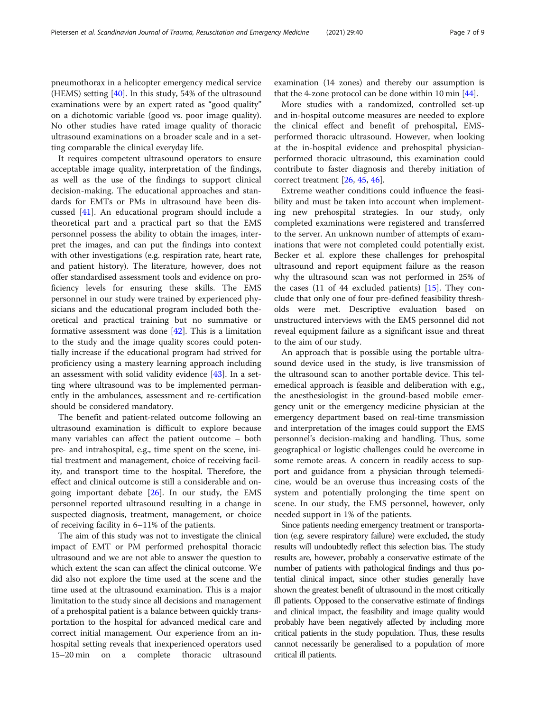pneumothorax in a helicopter emergency medical service (HEMS) setting [\[40](#page-8-0)]. In this study, 54% of the ultrasound examinations were by an expert rated as "good quality" on a dichotomic variable (good vs. poor image quality). No other studies have rated image quality of thoracic ultrasound examinations on a broader scale and in a setting comparable the clinical everyday life.

It requires competent ultrasound operators to ensure acceptable image quality, interpretation of the findings, as well as the use of the findings to support clinical decision-making. The educational approaches and standards for EMTs or PMs in ultrasound have been discussed [\[41](#page-8-0)]. An educational program should include a theoretical part and a practical part so that the EMS personnel possess the ability to obtain the images, interpret the images, and can put the findings into context with other investigations (e.g. respiration rate, heart rate, and patient history). The literature, however, does not offer standardised assessment tools and evidence on proficiency levels for ensuring these skills. The EMS personnel in our study were trained by experienced physicians and the educational program included both theoretical and practical training but no summative or formative assessment was done [[42\]](#page-8-0). This is a limitation to the study and the image quality scores could potentially increase if the educational program had strived for proficiency using a mastery learning approach including an assessment with solid validity evidence [\[43\]](#page-8-0). In a setting where ultrasound was to be implemented permanently in the ambulances, assessment and re-certification should be considered mandatory.

The benefit and patient-related outcome following an ultrasound examination is difficult to explore because many variables can affect the patient outcome – both pre- and intrahospital, e.g., time spent on the scene, initial treatment and management, choice of receiving facility, and transport time to the hospital. Therefore, the effect and clinical outcome is still a considerable and ongoing important debate  $[26]$  $[26]$ . In our study, the EMS personnel reported ultrasound resulting in a change in suspected diagnosis, treatment, management, or choice of receiving facility in 6–11% of the patients.

The aim of this study was not to investigate the clinical impact of EMT or PM performed prehospital thoracic ultrasound and we are not able to answer the question to which extent the scan can affect the clinical outcome. We did also not explore the time used at the scene and the time used at the ultrasound examination. This is a major limitation to the study since all decisions and management of a prehospital patient is a balance between quickly transportation to the hospital for advanced medical care and correct initial management. Our experience from an inhospital setting reveals that inexperienced operators used 15–20 min on a complete thoracic ultrasound examination (14 zones) and thereby our assumption is that the 4-zone protocol can be done within 10 min [[44](#page-8-0)].

More studies with a randomized, controlled set-up and in-hospital outcome measures are needed to explore the clinical effect and benefit of prehospital, EMSperformed thoracic ultrasound. However, when looking at the in-hospital evidence and prehospital physicianperformed thoracic ultrasound, this examination could contribute to faster diagnosis and thereby initiation of correct treatment [[26](#page-8-0), [45](#page-8-0), [46](#page-8-0)].

Extreme weather conditions could influence the feasibility and must be taken into account when implementing new prehospital strategies. In our study, only completed examinations were registered and transferred to the server. An unknown number of attempts of examinations that were not completed could potentially exist. Becker et al. explore these challenges for prehospital ultrasound and report equipment failure as the reason why the ultrasound scan was not performed in 25% of the cases (11 of 44 excluded patients) [\[15](#page-7-0)]. They conclude that only one of four pre-defined feasibility thresholds were met. Descriptive evaluation based on unstructured interviews with the EMS personnel did not reveal equipment failure as a significant issue and threat to the aim of our study.

An approach that is possible using the portable ultrasound device used in the study, is live transmission of the ultrasound scan to another portable device. This telemedical approach is feasible and deliberation with e.g., the anesthesiologist in the ground-based mobile emergency unit or the emergency medicine physician at the emergency department based on real-time transmission and interpretation of the images could support the EMS personnel's decision-making and handling. Thus, some geographical or logistic challenges could be overcome in some remote areas. A concern in readily access to support and guidance from a physician through telemedicine, would be an overuse thus increasing costs of the system and potentially prolonging the time spent on scene. In our study, the EMS personnel, however, only needed support in 1% of the patients.

Since patients needing emergency treatment or transportation (e.g. severe respiratory failure) were excluded, the study results will undoubtedly reflect this selection bias. The study results are, however, probably a conservative estimate of the number of patients with pathological findings and thus potential clinical impact, since other studies generally have shown the greatest benefit of ultrasound in the most critically ill patients. Opposed to the conservative estimate of findings and clinical impact, the feasibility and image quality would probably have been negatively affected by including more critical patients in the study population. Thus, these results cannot necessarily be generalised to a population of more critical ill patients.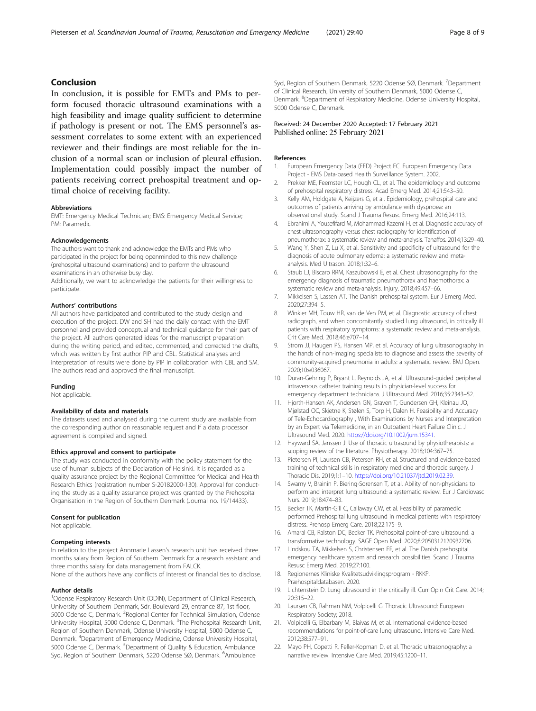# <span id="page-7-0"></span>Conclusion

In conclusion, it is possible for EMTs and PMs to perform focused thoracic ultrasound examinations with a high feasibility and image quality sufficient to determine if pathology is present or not. The EMS personnel's assessment correlates to some extent with an experienced reviewer and their findings are most reliable for the inclusion of a normal scan or inclusion of pleural effusion. Implementation could possibly impact the number of patients receiving correct prehospital treatment and optimal choice of receiving facility.

#### Abbreviations

EMT: Emergency Medical Technician; EMS: Emergency Medical Service; PM: Paramedic

#### Acknowledgements

The authors want to thank and acknowledge the EMTs and PMs who participated in the project for being openminded to this new challenge (prehospital ultrasound examinations) and to perform the ultrasound examinations in an otherwise busy day.

Additionally, we want to acknowledge the patients for their willingness to participate.

#### Authors' contributions

All authors have participated and contributed to the study design and execution of the project. DW and SH had the daily contact with the EMT personnel and provided conceptual and technical guidance for their part of the project. All authors generated ideas for the manuscript preparation during the writing period, and edited, commented, and corrected the drafts, which was written by first author PIP and CBL. Statistical analyses and interpretation of results were done by PIP in collaboration with CBL and SM. The authors read and approved the final manuscript.

#### Funding

Not applicable.

#### Availability of data and materials

The datasets used and analysed during the current study are available from the corresponding author on reasonable request and if a data processor agreement is compiled and signed.

#### Ethics approval and consent to participate

The study was conducted in conformity with the policy statement for the use of human subjects of the Declaration of Helsinki. It is regarded as a quality assurance project by the Regional Committee for Medical and Health Research Ethics (registration number S-20182000-130). Approval for conducting the study as a quality assurance project was granted by the Prehospital Organisation in the Region of Southern Denmark (Journal no. 19/14433).

#### Consent for publication

Not applicable.

#### Competing interests

In relation to the project Annmarie Lassen's research unit has received three months salary from Region of Southern Denmark for a research assistant and three months salary for data management from FALCK. None of the authors have any conflicts of interest or financial ties to disclose.

# Author details

<sup>1</sup>Odense Respiratory Research Unit (ODIN), Department of Clinical Research, University of Southern Denmark, Sdr. Boulevard 29, entrance 87, 1st floor, 5000 Odense C, Denmark. <sup>2</sup>Regional Center for Technical Simulation, Odense University Hospital, 5000 Odense C, Denmark. <sup>3</sup>The Prehospital Research Unit, Region of Southern Denmark, Odense University Hospital, 5000 Odense C, Denmark. <sup>4</sup> Department of Emergency Medicine, Odense University Hospital, 5000 Odense C, Denmark. <sup>5</sup>Department of Quality & Education, Ambulance Syd, Region of Southern Denmark, 5220 Odense SØ, Denmark. <sup>6</sup>Ambulance

Syd, Region of Southern Denmark, 5220 Odense SØ, Denmark. <sup>7</sup>Department of Clinical Research, University of Southern Denmark, 5000 Odense C, Denmark. <sup>8</sup>Department of Respiratory Medicine, Odense University Hospital 5000 Odense C, Denmark.

## Received: 24 December 2020 Accepted: 17 February 2021 Published online: 25 February 2021

#### References

- 1. European Emergency Data (EED) Project EC. European Emergency Data Project - EMS Data-based Health Surveillance System. 2002.
- 2. Prekker ME, Feemster LC, Hough CL, et al. The epidemiology and outcome of prehospital respiratory distress. Acad Emerg Med. 2014;21:543–50.
- 3. Kelly AM, Holdgate A, Keijzers G, et al. Epidemiology, prehospital care and outcomes of patients arriving by ambulance with dyspnoea: an observational study. Scand J Trauma Resusc Emerg Med. 2016;24:113.
- 4. Ebrahimi A, Yousefifard M, Mohammad Kazemi H, et al. Diagnostic accuracy of chest ultrasonography versus chest radiography for identification of pneumothorax: a systematic review and meta-analysis. Tanaffos. 2014;13:29–40.
- 5. Wang Y, Shen Z, Lu X, et al. Sensitivity and specificity of ultrasound for the diagnosis of acute pulmonary edema: a systematic review and metaanalysis. Med Ultrason. 2018;1:32–6.
- 6. Staub LJ, Biscaro RRM, Kaszubowski E, et al. Chest ultrasonography for the emergency diagnosis of traumatic pneumothorax and haemothorax: a systematic review and meta-analysis. Injury. 2018;49:457–66.
- 7. Mikkelsen S, Lassen AT. The Danish prehospital system. Eur J Emerg Med. 2020;27:394–5.
- 8. Winkler MH, Touw HR, van de Ven PM, et al. Diagnostic accuracy of chest radiograph, and when concomitantly studied lung ultrasound, in critically ill patients with respiratory symptoms: a systematic review and meta-analysis. Crit Care Med. 2018;46:e707–14.
- 9. Strom JJ, Haugen PS, Hansen MP, et al. Accuracy of lung ultrasonography in the hands of non-imaging specialists to diagnose and assess the severity of community-acquired pneumonia in adults: a systematic review. BMJ Open. 2020;10:e036067.
- 10. Duran-Gehring P, Bryant L, Reynolds JA, et al. Ultrasound-guided peripheral intravenous catheter training results in physician-level success for emergency department technicians. J Ultrasound Med. 2016;35:2343–52.
- 11. Hjorth-Hansen AK, Andersen GN, Graven T, Gundersen GH, Kleinau JO, Mjølstad OC, Skjetne K, Stølen S, Torp H, Dalen H. Feasibility and Accuracy of Tele-Echocardiography , With Examinations by Nurses and Interpretation by an Expert via Telemedicine, in an Outpatient Heart Failure Clinic. J Ultrasound Med. 2020. <https://doi.org/10.1002/jum.15341>.
- 12. Hayward SA, Janssen J. Use of thoracic ultrasound by physiotherapists: a scoping review of the literature. Physiotherapy. 2018;104:367–75.
- 13. Pietersen PI, Laursen CB, Petersen RH, et al. Structured and evidence-based training of technical skills in respiratory medicine and thoracic surgery. J Thoracic Dis. 2019;1:1–10. <https://doi.org/10.21037/jtd.2019.02.39>.
- 14. Swamy V, Brainin P, Biering-Sorensen T, et al. Ability of non-physicians to perform and interpret lung ultrasound: a systematic review. Eur J Cardiovasc Nurs. 2019;18:474–83.
- 15. Becker TK, Martin-Gill C, Callaway CW, et al. Feasibility of paramedic performed Prehospital lung ultrasound in medical patients with respiratory distress. Prehosp Emerg Care. 2018;22:175–9.
- 16. Amaral CB, Ralston DC, Becker TK. Prehospital point-of-care ultrasound: a transformative technology. SAGE Open Med. 2020;8:2050312120932706.
- 17. Lindskou TA, Mikkelsen S, Christensen EF, et al. The Danish prehospital emergency healthcare system and research possibilities. Scand J Trauma Resusc Emerg Med. 2019;27:100.
- 18. Regionernes Kliniske Kvalitetsudviklingsprogram RKKP. Præhospitaldatabasen. 2020.
- 19. Lichtenstein D. Lung ultrasound in the critically ill. Curr Opin Crit Care. 2014; 20:315–22.
- 20. Laursen CB, Rahman NM, Volpicelli G. Thoracic Ultrasound: European Respiratory Society; 2018.
- 21. Volpicelli G, Elbarbary M, Blaivas M, et al. International evidence-based recommendations for point-of-care lung ultrasound. Intensive Care Med. 2012;38:577–91.
- 22. Mayo PH, Copetti R, Feller-Kopman D, et al. Thoracic ultrasonography: a narrative review. Intensive Care Med. 2019;45:1200–11.